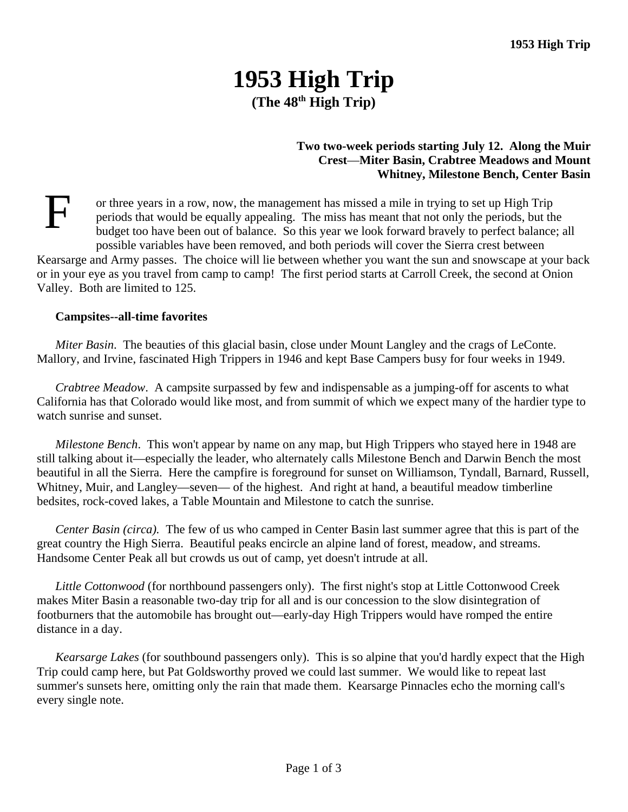# **1953 High Trip (The 48th High Trip)**

## **Two two-week periods starting July 12. Along the Muir Crest**—**Miter Basin, Crabtree Meadows and Mount Whitney, Milestone Bench, Center Basin**

 $\mathbf{F}$ or three years in a row, now, the management has missed a mile in trying to set up High Trip periods that would be equally appealing. The miss has meant that not only the periods, but the budget too have been out of balance. So this year we look forward bravely to perfect balance; all possible variables have been removed, and both periods will cover the Sierra crest between Kearsarge and Army passes. The choice will lie between whether you want the sun and snowscape at your back or in your eye as you travel from camp to camp! The first period starts at Carroll Creek, the second at Onion Valley. Both are limited to 125.

## **Campsites--all-time favorites**

*Miter Basin*. The beauties of this glacial basin, close under Mount Langley and the crags of LeConte. Mallory, and Irvine, fascinated High Trippers in 1946 and kept Base Campers busy for four weeks in 1949.

*Crabtree Meadow*. A campsite surpassed by few and indispensable as a jumping-off for ascents to what California has that Colorado would like most, and from summit of which we expect many of the hardier type to watch sunrise and sunset.

*Milestone Bench*. This won't appear by name on any map, but High Trippers who stayed here in 1948 are still talking about it—especially the leader, who alternately calls Milestone Bench and Darwin Bench the most beautiful in all the Sierra. Here the campfire is foreground for sunset on Williamson, Tyndall, Barnard, Russell, Whitney, Muir, and Langley—seven— of the highest. And right at hand, a beautiful meadow timberline bedsites, rock-coved lakes, a Table Mountain and Milestone to catch the sunrise.

*Center Basin (circa).* The few of us who camped in Center Basin last summer agree that this is part of the great country the High Sierra. Beautiful peaks encircle an alpine land of forest, meadow, and streams. Handsome Center Peak all but crowds us out of camp, yet doesn't intrude at all.

*Little Cottonwood* (for northbound passengers only). The first night's stop at Little Cottonwood Creek makes Miter Basin a reasonable two-day trip for all and is our concession to the slow disintegration of footburners that the automobile has brought out—early-day High Trippers would have romped the entire distance in a day.

*Kearsarge Lakes* (for southbound passengers only). This is so alpine that you'd hardly expect that the High Trip could camp here, but Pat Goldsworthy proved we could last summer. We would like to repeat last summer's sunsets here, omitting only the rain that made them. Kearsarge Pinnacles echo the morning call's every single note.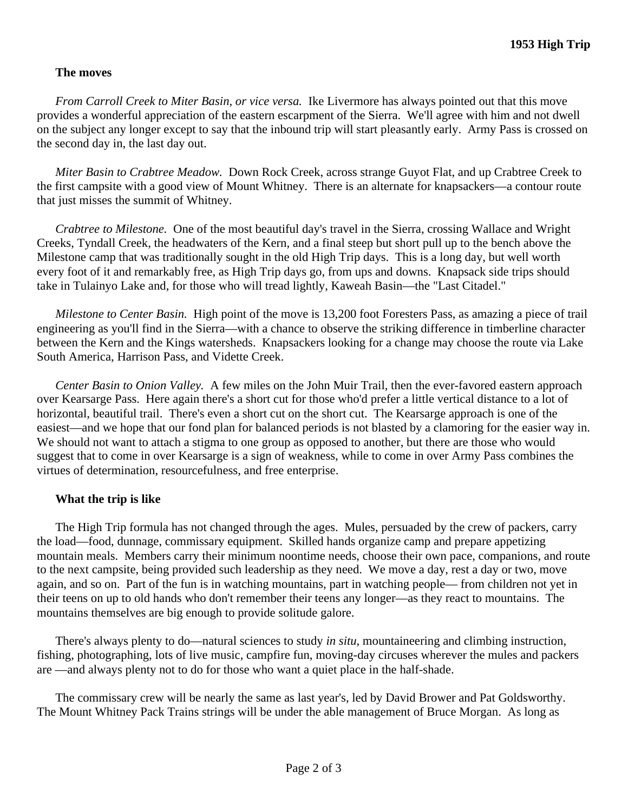## **The moves**

*From Carroll Creek to Miter Basin, or vice versa.* Ike Livermore has always pointed out that this move provides a wonderful appreciation of the eastern escarpment of the Sierra. We'll agree with him and not dwell on the subject any longer except to say that the inbound trip will start pleasantly early. Army Pass is crossed on the second day in, the last day out.

*Miter Basin to Crabtree Meadow.* Down Rock Creek, across strange Guyot Flat, and up Crabtree Creek to the first campsite with a good view of Mount Whitney. There is an alternate for knapsackers—a contour route that just misses the summit of Whitney.

*Crabtree to Milestone.* One of the most beautiful day's travel in the Sierra, crossing Wallace and Wright Creeks, Tyndall Creek, the headwaters of the Kern, and a final steep but short pull up to the bench above the Milestone camp that was traditionally sought in the old High Trip days. This is a long day, but well worth every foot of it and remarkably free, as High Trip days go, from ups and downs. Knapsack side trips should take in Tulainyo Lake and, for those who will tread lightly, Kaweah Basin—the "Last Citadel."

*Milestone to Center Basin.* High point of the move is 13,200 foot Foresters Pass, as amazing a piece of trail engineering as you'll find in the Sierra—with a chance to observe the striking difference in timberline character between the Kern and the Kings watersheds. Knapsackers looking for a change may choose the route via Lake South America, Harrison Pass, and Vidette Creek.

*Center Basin to Onion Valley.* A few miles on the John Muir Trail, then the ever-favored eastern approach over Kearsarge Pass. Here again there's a short cut for those who'd prefer a little vertical distance to a lot of horizontal, beautiful trail. There's even a short cut on the short cut. The Kearsarge approach is one of the easiest—and we hope that our fond plan for balanced periods is not blasted by a clamoring for the easier way in. We should not want to attach a stigma to one group as opposed to another, but there are those who would suggest that to come in over Kearsarge is a sign of weakness, while to come in over Army Pass combines the virtues of determination, resourcefulness, and free enterprise.

## **What the trip is like**

The High Trip formula has not changed through the ages. Mules, persuaded by the crew of packers, carry the load—food, dunnage, commissary equipment. Skilled hands organize camp and prepare appetizing mountain meals. Members carry their minimum noontime needs, choose their own pace, companions, and route to the next campsite, being provided such leadership as they need. We move a day, rest a day or two, move again, and so on. Part of the fun is in watching mountains, part in watching people— from children not yet in their teens on up to old hands who don't remember their teens any longer—as they react to mountains. The mountains themselves are big enough to provide solitude galore.

There's always plenty to do—natural sciences to study *in situ*, mountaineering and climbing instruction, fishing, photographing, lots of live music, campfire fun, moving-day circuses wherever the mules and packers are —and always plenty not to do for those who want a quiet place in the half-shade.

The commissary crew will be nearly the same as last year's, led by David Brower and Pat Goldsworthy. The Mount Whitney Pack Trains strings will be under the able management of Bruce Morgan. As long as